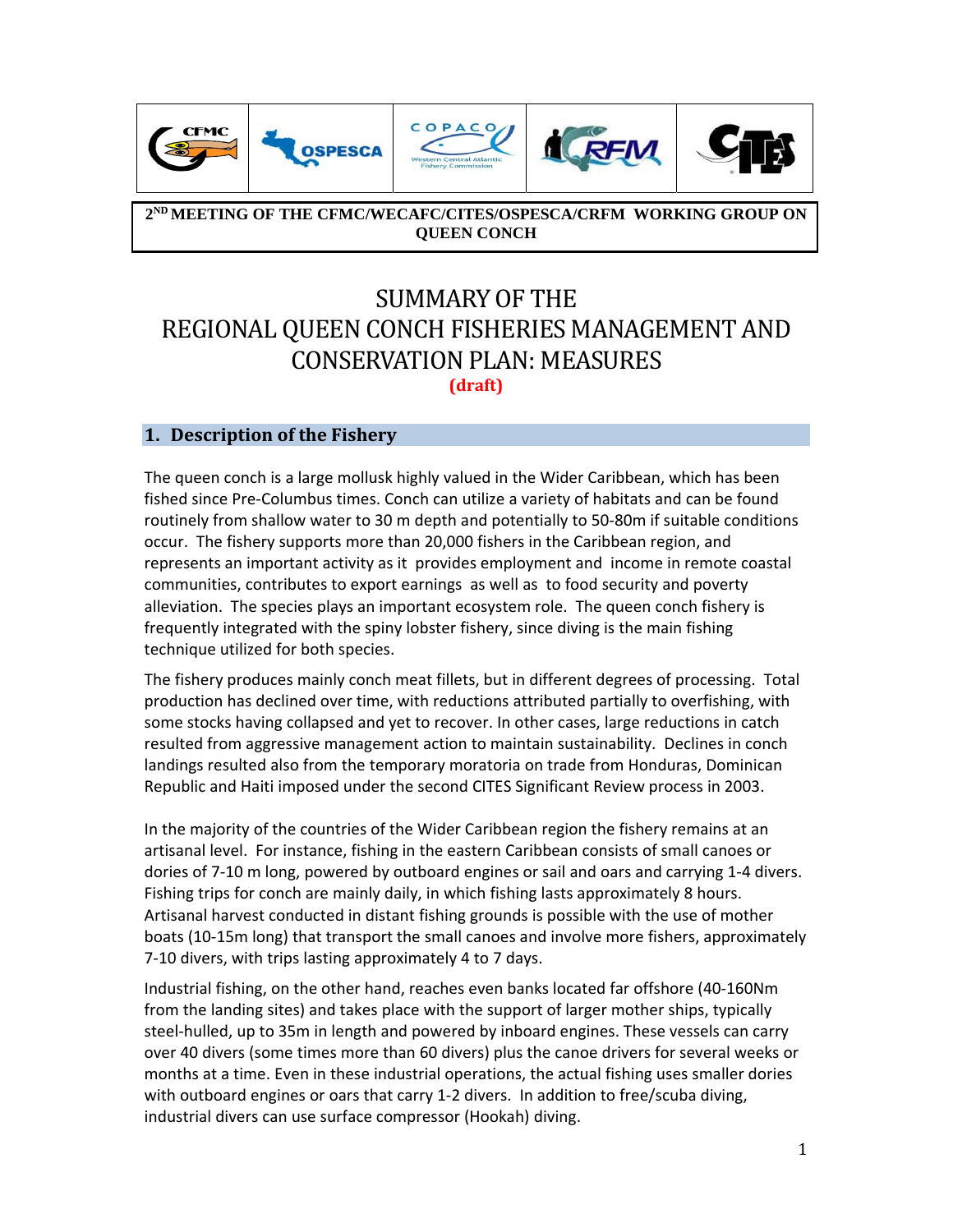

**2ND MEETING OF THE CFMC/WECAFC/CITES/OSPESCA/CRFM WORKING GROUP ON QUEEN CONCH** 

# SUMMARY OF THE REGIONAL QUEEN CONCH FISHERIES MANAGEMENT AND CONSERVATION PLAN: MEASURES **(draft)**

## **1. Description of the Fishery**

The queen conch is a large mollusk highly valued in the Wider Caribbean, which has been fished since Pre‐Columbus times. Conch can utilize a variety of habitats and can be found routinely from shallow water to 30 m depth and potentially to 50‐80m if suitable conditions occur. The fishery supports more than 20,000 fishers in the Caribbean region, and represents an important activity as it provides employment and income in remote coastal communities, contributes to export earnings as well as to food security and poverty alleviation. The species plays an important ecosystem role. The queen conch fishery is frequently integrated with the spiny lobster fishery, since diving is the main fishing technique utilized for both species.

The fishery produces mainly conch meat fillets, but in different degrees of processing. Total production has declined over time, with reductions attributed partially to overfishing, with some stocks having collapsed and yet to recover. In other cases, large reductions in catch resulted from aggressive management action to maintain sustainability. Declines in conch landings resulted also from the temporary moratoria on trade from Honduras, Dominican Republic and Haiti imposed under the second CITES Significant Review process in 2003.

In the majority of the countries of the Wider Caribbean region the fishery remains at an artisanal level. For instance, fishing in the eastern Caribbean consists of small canoes or dories of 7‐10 m long, powered by outboard engines or sail and oars and carrying 1‐4 divers. Fishing trips for conch are mainly daily, in which fishing lasts approximately 8 hours. Artisanal harvest conducted in distant fishing grounds is possible with the use of mother boats (10‐15m long) that transport the small canoes and involve more fishers, approximately 7‐10 divers, with trips lasting approximately 4 to 7 days.

Industrial fishing, on the other hand, reaches even banks located far offshore (40‐160Nm from the landing sites) and takes place with the support of larger mother ships, typically steel‐hulled, up to 35m in length and powered by inboard engines. These vessels can carry over 40 divers (some times more than 60 divers) plus the canoe drivers for several weeks or months at a time. Even in these industrial operations, the actual fishing uses smaller dories with outboard engines or oars that carry 1-2 divers. In addition to free/scuba diving, industrial divers can use surface compressor (Hookah) diving.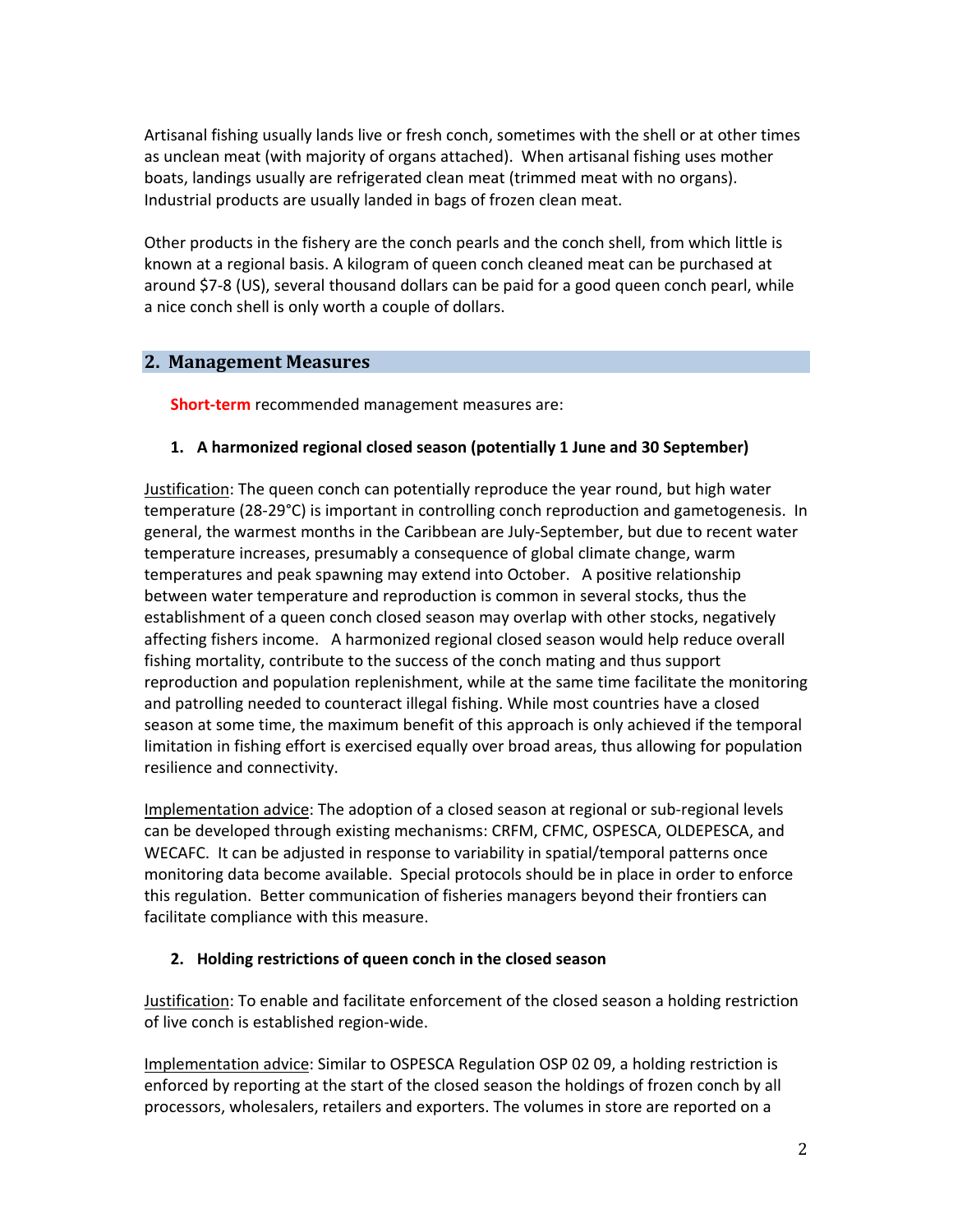Artisanal fishing usually lands live or fresh conch, sometimes with the shell or at other times as unclean meat (with majority of organs attached). When artisanal fishing uses mother boats, landings usually are refrigerated clean meat (trimmed meat with no organs). Industrial products are usually landed in bags of frozen clean meat.

Other products in the fishery are the conch pearls and the conch shell, from which little is known at a regional basis. A kilogram of queen conch cleaned meat can be purchased at around \$7‐8 (US), several thousand dollars can be paid for a good queen conch pearl, while a nice conch shell is only worth a couple of dollars.

#### **2. Management Measures**

**Short‐term** recommended management measures are:

#### **1. A harmonized regional closed season (potentially 1 June and 30 September)**

Justification: The queen conch can potentially reproduce the year round, but high water temperature (28‐29°C) is important in controlling conch reproduction and gametogenesis. In general, the warmest months in the Caribbean are July‐September, but due to recent water temperature increases, presumably a consequence of global climate change, warm temperatures and peak spawning may extend into October. A positive relationship between water temperature and reproduction is common in several stocks, thus the establishment of a queen conch closed season may overlap with other stocks, negatively affecting fishers income. A harmonized regional closed season would help reduce overall fishing mortality, contribute to the success of the conch mating and thus support reproduction and population replenishment, while at the same time facilitate the monitoring and patrolling needed to counteract illegal fishing. While most countries have a closed season at some time, the maximum benefit of this approach is only achieved if the temporal limitation in fishing effort is exercised equally over broad areas, thus allowing for population resilience and connectivity.

Implementation advice: The adoption of a closed season at regional or sub-regional levels can be developed through existing mechanisms: CRFM, CFMC, OSPESCA, OLDEPESCA, and WECAFC. It can be adjusted in response to variability in spatial/temporal patterns once monitoring data become available. Special protocols should be in place in order to enforce this regulation. Better communication of fisheries managers beyond their frontiers can facilitate compliance with this measure.

#### **2. Holding restrictions of queen conch in the closed season**

Justification: To enable and facilitate enforcement of the closed season a holding restriction of live conch is established region‐wide.

Implementation advice: Similar to OSPESCA Regulation OSP 02 09, a holding restriction is enforced by reporting at the start of the closed season the holdings of frozen conch by all processors, wholesalers, retailers and exporters. The volumes in store are reported on a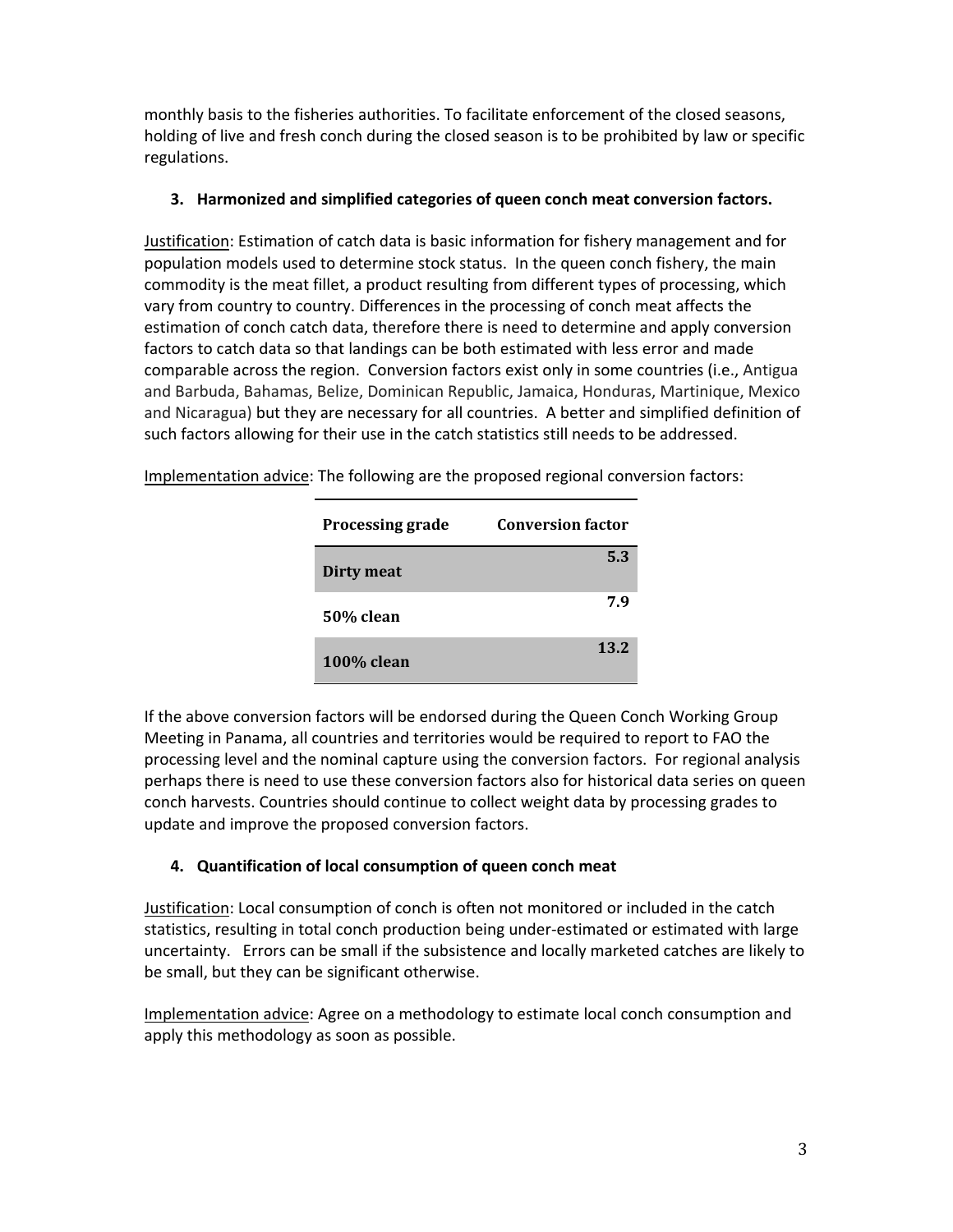monthly basis to the fisheries authorities. To facilitate enforcement of the closed seasons, holding of live and fresh conch during the closed season is to be prohibited by law or specific regulations.

#### **3. Harmonized and simplified categories of queen conch meat conversion factors.**

Justification: Estimation of catch data is basic information for fishery management and for population models used to determine stock status. In the queen conch fishery, the main commodity is the meat fillet, a product resulting from different types of processing, which vary from country to country. Differences in the processing of conch meat affects the estimation of conch catch data, therefore there is need to determine and apply conversion factors to catch data so that landings can be both estimated with less error and made comparable across the region. Conversion factors exist only in some countries (i.e., Antigua and Barbuda, Bahamas, Belize, Dominican Republic, Jamaica, Honduras, Martinique, Mexico and Nicaragua) but they are necessary for all countries. A better and simplified definition of such factors allowing for their use in the catch statistics still needs to be addressed.

| <b>Processing grade</b> | <b>Conversion factor</b> |
|-------------------------|--------------------------|
| <b>Dirty meat</b>       | 5.3                      |
| 50% clean               | 7.9                      |
| <b>100% clean</b>       | 13.2                     |

Implementation advice: The following are the proposed regional conversion factors:

If the above conversion factors will be endorsed during the Queen Conch Working Group Meeting in Panama, all countries and territories would be required to report to FAO the processing level and the nominal capture using the conversion factors. For regional analysis perhaps there is need to use these conversion factors also for historical data series on queen conch harvests. Countries should continue to collect weight data by processing grades to update and improve the proposed conversion factors.

## **4. Quantification of local consumption of queen conch meat**

Justification: Local consumption of conch is often not monitored or included in the catch statistics, resulting in total conch production being under‐estimated or estimated with large uncertainty. Errors can be small if the subsistence and locally marketed catches are likely to be small, but they can be significant otherwise.

Implementation advice: Agree on a methodology to estimate local conch consumption and apply this methodology as soon as possible.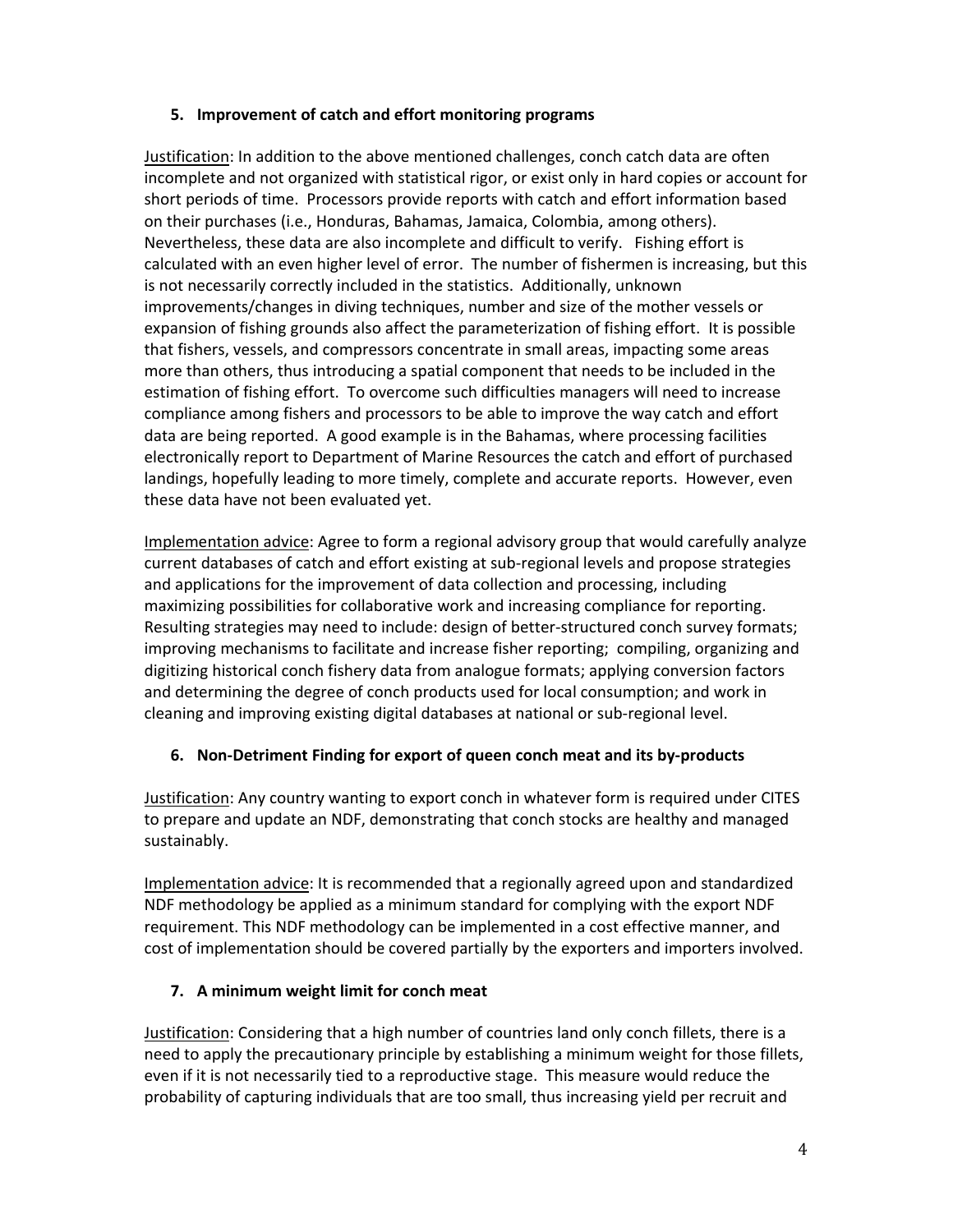#### **5. Improvement of catch and effort monitoring programs**

Justification: In addition to the above mentioned challenges, conch catch data are often incomplete and not organized with statistical rigor, or exist only in hard copies or account for short periods of time. Processors provide reports with catch and effort information based on their purchases (i.e., Honduras, Bahamas, Jamaica, Colombia, among others). Nevertheless, these data are also incomplete and difficult to verify. Fishing effort is calculated with an even higher level of error. The number of fishermen is increasing, but this is not necessarily correctly included in the statistics. Additionally, unknown improvements/changes in diving techniques, number and size of the mother vessels or expansion of fishing grounds also affect the parameterization of fishing effort. It is possible that fishers, vessels, and compressors concentrate in small areas, impacting some areas more than others, thus introducing a spatial component that needs to be included in the estimation of fishing effort. To overcome such difficulties managers will need to increase compliance among fishers and processors to be able to improve the way catch and effort data are being reported. A good example is in the Bahamas, where processing facilities electronically report to Department of Marine Resources the catch and effort of purchased landings, hopefully leading to more timely, complete and accurate reports. However, even these data have not been evaluated yet.

Implementation advice: Agree to form a regional advisory group that would carefully analyze current databases of catch and effort existing at sub‐regional levels and propose strategies and applications for the improvement of data collection and processing, including maximizing possibilities for collaborative work and increasing compliance for reporting. Resulting strategies may need to include: design of better‐structured conch survey formats; improving mechanisms to facilitate and increase fisher reporting; compiling, organizing and digitizing historical conch fishery data from analogue formats; applying conversion factors and determining the degree of conch products used for local consumption; and work in cleaning and improving existing digital databases at national or sub‐regional level.

#### **6. Non‐Detriment Finding for export of queen conch meat and its by‐products**

Justification: Any country wanting to export conch in whatever form is required under CITES to prepare and update an NDF, demonstrating that conch stocks are healthy and managed sustainably.

Implementation advice: It is recommended that a regionally agreed upon and standardized NDF methodology be applied as a minimum standard for complying with the export NDF requirement. This NDF methodology can be implemented in a cost effective manner, and cost of implementation should be covered partially by the exporters and importers involved.

#### **7. A minimum weight limit for conch meat**

Justification: Considering that a high number of countries land only conch fillets, there is a need to apply the precautionary principle by establishing a minimum weight for those fillets, even if it is not necessarily tied to a reproductive stage. This measure would reduce the probability of capturing individuals that are too small, thus increasing yield per recruit and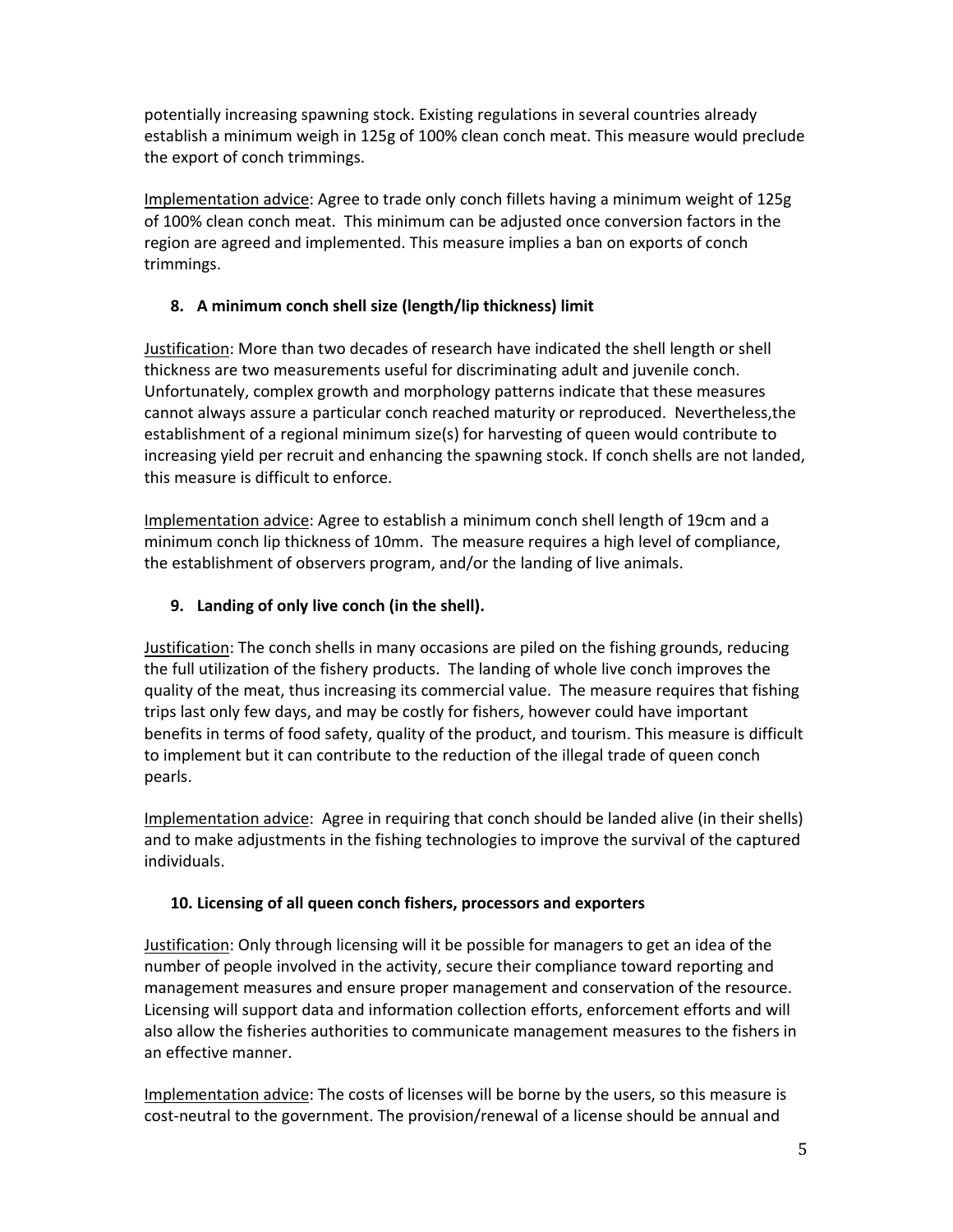potentially increasing spawning stock. Existing regulations in several countries already establish a minimum weigh in 125g of 100% clean conch meat. This measure would preclude the export of conch trimmings.

Implementation advice: Agree to trade only conch fillets having a minimum weight of 125g of 100% clean conch meat. This minimum can be adjusted once conversion factors in the region are agreed and implemented. This measure implies a ban on exports of conch trimmings.

#### **8. A minimum conch shell size (length/lip thickness) limit**

Justification: More than two decades of research have indicated the shell length or shell thickness are two measurements useful for discriminating adult and juvenile conch. Unfortunately, complex growth and morphology patterns indicate that these measures cannot always assure a particular conch reached maturity or reproduced. Nevertheless,the establishment of a regional minimum size(s) for harvesting of queen would contribute to increasing yield per recruit and enhancing the spawning stock. If conch shells are not landed, this measure is difficult to enforce.

Implementation advice: Agree to establish a minimum conch shell length of 19cm and a minimum conch lip thickness of 10mm. The measure requires a high level of compliance, the establishment of observers program, and/or the landing of live animals.

#### **9. Landing of only live conch (in the shell).**

Justification: The conch shells in many occasions are piled on the fishing grounds, reducing the full utilization of the fishery products. The landing of whole live conch improves the quality of the meat, thus increasing its commercial value. The measure requires that fishing trips last only few days, and may be costly for fishers, however could have important benefits in terms of food safety, quality of the product, and tourism. This measure is difficult to implement but it can contribute to the reduction of the illegal trade of queen conch pearls.

Implementation advice: Agree in requiring that conch should be landed alive (in their shells) and to make adjustments in the fishing technologies to improve the survival of the captured individuals.

## **10. Licensing of all queen conch fishers, processors and exporters**

Justification: Only through licensing will it be possible for managers to get an idea of the number of people involved in the activity, secure their compliance toward reporting and management measures and ensure proper management and conservation of the resource. Licensing will support data and information collection efforts, enforcement efforts and will also allow the fisheries authorities to communicate management measures to the fishers in an effective manner.

Implementation advice: The costs of licenses will be borne by the users, so this measure is cost‐neutral to the government. The provision/renewal of a license should be annual and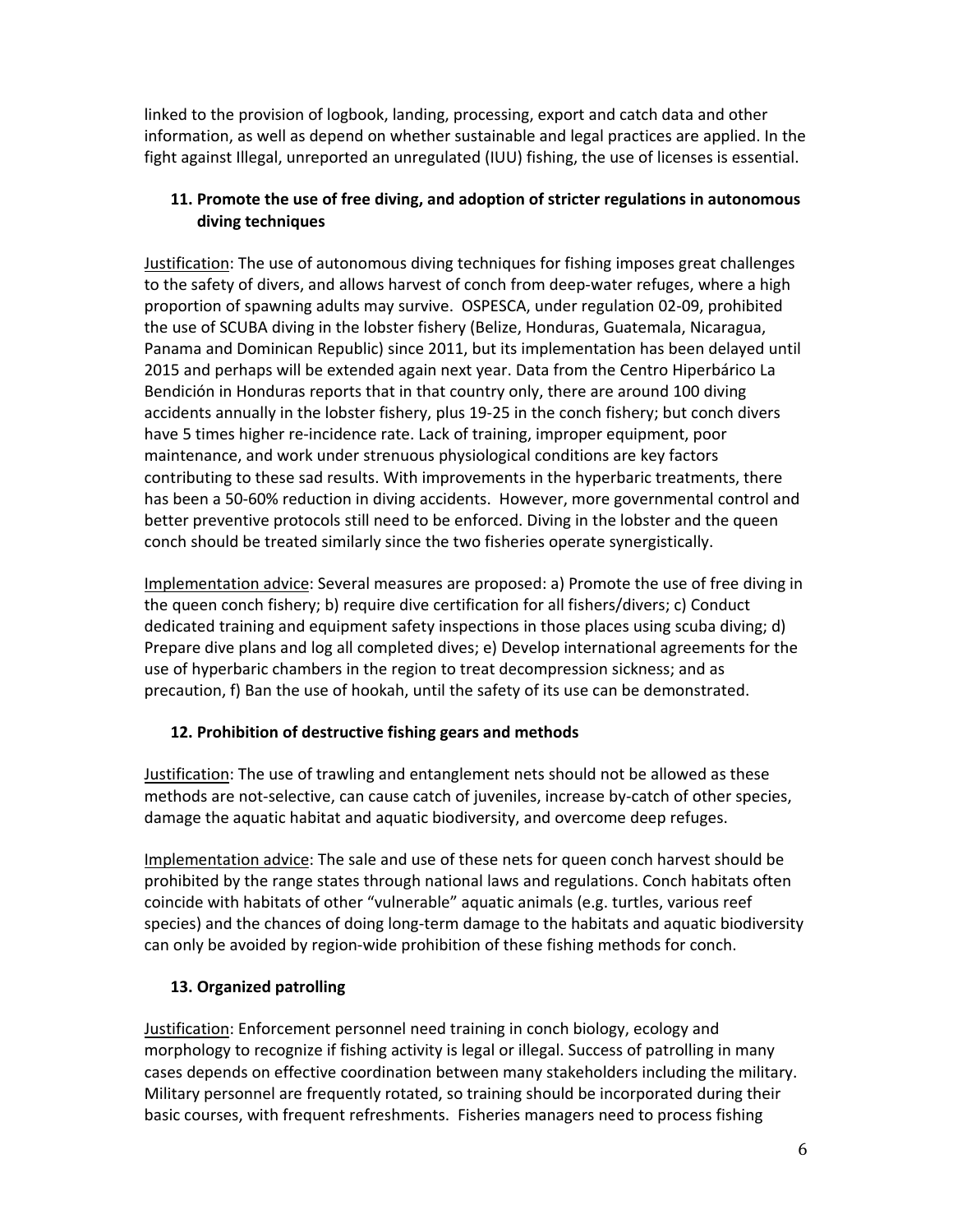linked to the provision of logbook, landing, processing, export and catch data and other information, as well as depend on whether sustainable and legal practices are applied. In the fight against Illegal, unreported an unregulated (IUU) fishing, the use of licenses is essential.

#### **11. Promote the use of free diving, and adoption of stricter regulations in autonomous diving techniques**

Justification: The use of autonomous diving techniques for fishing imposes great challenges to the safety of divers, and allows harvest of conch from deep-water refuges, where a high proportion of spawning adults may survive. OSPESCA, under regulation 02‐09, prohibited the use of SCUBA diving in the lobster fishery (Belize, Honduras, Guatemala, Nicaragua, Panama and Dominican Republic) since 2011, but its implementation has been delayed until 2015 and perhaps will be extended again next year. Data from the Centro Hiperbárico La Bendición in Honduras reports that in that country only, there are around 100 diving accidents annually in the lobster fishery, plus 19‐25 in the conch fishery; but conch divers have 5 times higher re-incidence rate. Lack of training, improper equipment, poor maintenance, and work under strenuous physiological conditions are key factors contributing to these sad results. With improvements in the hyperbaric treatments, there has been a 50-60% reduction in diving accidents. However, more governmental control and better preventive protocols still need to be enforced. Diving in the lobster and the queen conch should be treated similarly since the two fisheries operate synergistically.

Implementation advice: Several measures are proposed: a) Promote the use of free diving in the queen conch fishery; b) require dive certification for all fishers/divers; c) Conduct dedicated training and equipment safety inspections in those places using scuba diving; d) Prepare dive plans and log all completed dives; e) Develop international agreements for the use of hyperbaric chambers in the region to treat decompression sickness; and as precaution, f) Ban the use of hookah, until the safety of its use can be demonstrated.

## **12. Prohibition of destructive fishing gears and methods**

Justification: The use of trawling and entanglement nets should not be allowed as these methods are not‐selective, can cause catch of juveniles, increase by‐catch of other species, damage the aquatic habitat and aquatic biodiversity, and overcome deep refuges.

Implementation advice: The sale and use of these nets for queen conch harvest should be prohibited by the range states through national laws and regulations. Conch habitats often coincide with habitats of other "vulnerable" aquatic animals (e.g. turtles, various reef species) and the chances of doing long-term damage to the habitats and aquatic biodiversity can only be avoided by region‐wide prohibition of these fishing methods for conch.

# **13. Organized patrolling**

Justification: Enforcement personnel need training in conch biology, ecology and morphology to recognize if fishing activity is legal or illegal. Success of patrolling in many cases depends on effective coordination between many stakeholders including the military. Military personnel are frequently rotated, so training should be incorporated during their basic courses, with frequent refreshments. Fisheries managers need to process fishing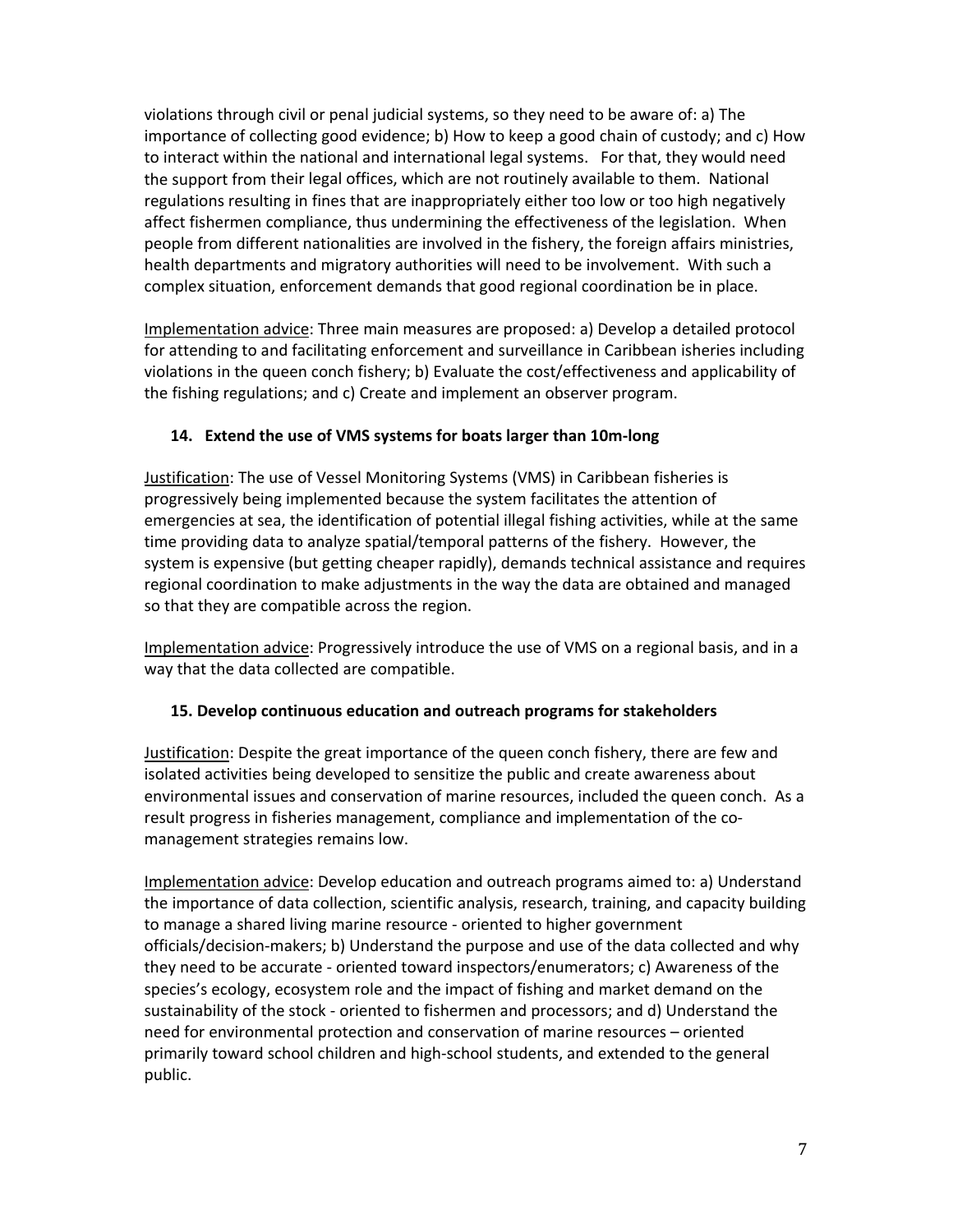violations through civil or penal judicial systems, so they need to be aware of: a) The importance of collecting good evidence; b) How to keep a good chain of custody; and c) How to interact within the national and international legal systems. For that, they would need the support from their legal offices, which are not routinely available to them. National regulations resulting in fines that are inappropriately either too low or too high negatively affect fishermen compliance, thus undermining the effectiveness of the legislation. When people from different nationalities are involved in the fishery, the foreign affairs ministries, health departments and migratory authorities will need to be involvement. With such a complex situation, enforcement demands that good regional coordination be in place.

Implementation advice: Three main measures are proposed: a) Develop a detailed protocol for attending to and facilitating enforcement and surveillance in Caribbean isheries including violations in the queen conch fishery; b) Evaluate the cost/effectiveness and applicability of the fishing regulations; and c) Create and implement an observer program.

#### **14. Extend the use of VMS systems for boats larger than 10m‐long**

Justification: The use of Vessel Monitoring Systems (VMS) in Caribbean fisheries is progressively being implemented because the system facilitates the attention of emergencies at sea, the identification of potential illegal fishing activities, while at the same time providing data to analyze spatial/temporal patterns of the fishery. However, the system is expensive (but getting cheaper rapidly), demands technical assistance and requires regional coordination to make adjustments in the way the data are obtained and managed so that they are compatible across the region.

Implementation advice: Progressively introduce the use of VMS on a regional basis, and in a way that the data collected are compatible.

#### **15. Develop continuous education and outreach programs for stakeholders**

Justification: Despite the great importance of the queen conch fishery, there are few and isolated activities being developed to sensitize the public and create awareness about environmental issues and conservation of marine resources, included the queen conch. As a result progress in fisheries management, compliance and implementation of the co‐ management strategies remains low.

Implementation advice: Develop education and outreach programs aimed to: a) Understand the importance of data collection, scientific analysis, research, training, and capacity building to manage a shared living marine resource ‐ oriented to higher government officials/decision‐makers; b) Understand the purpose and use of the data collected and why they need to be accurate ‐ oriented toward inspectors/enumerators; c) Awareness of the species's ecology, ecosystem role and the impact of fishing and market demand on the sustainability of the stock ‐ oriented to fishermen and processors; and d) Understand the need for environmental protection and conservation of marine resources – oriented primarily toward school children and high‐school students, and extended to the general public.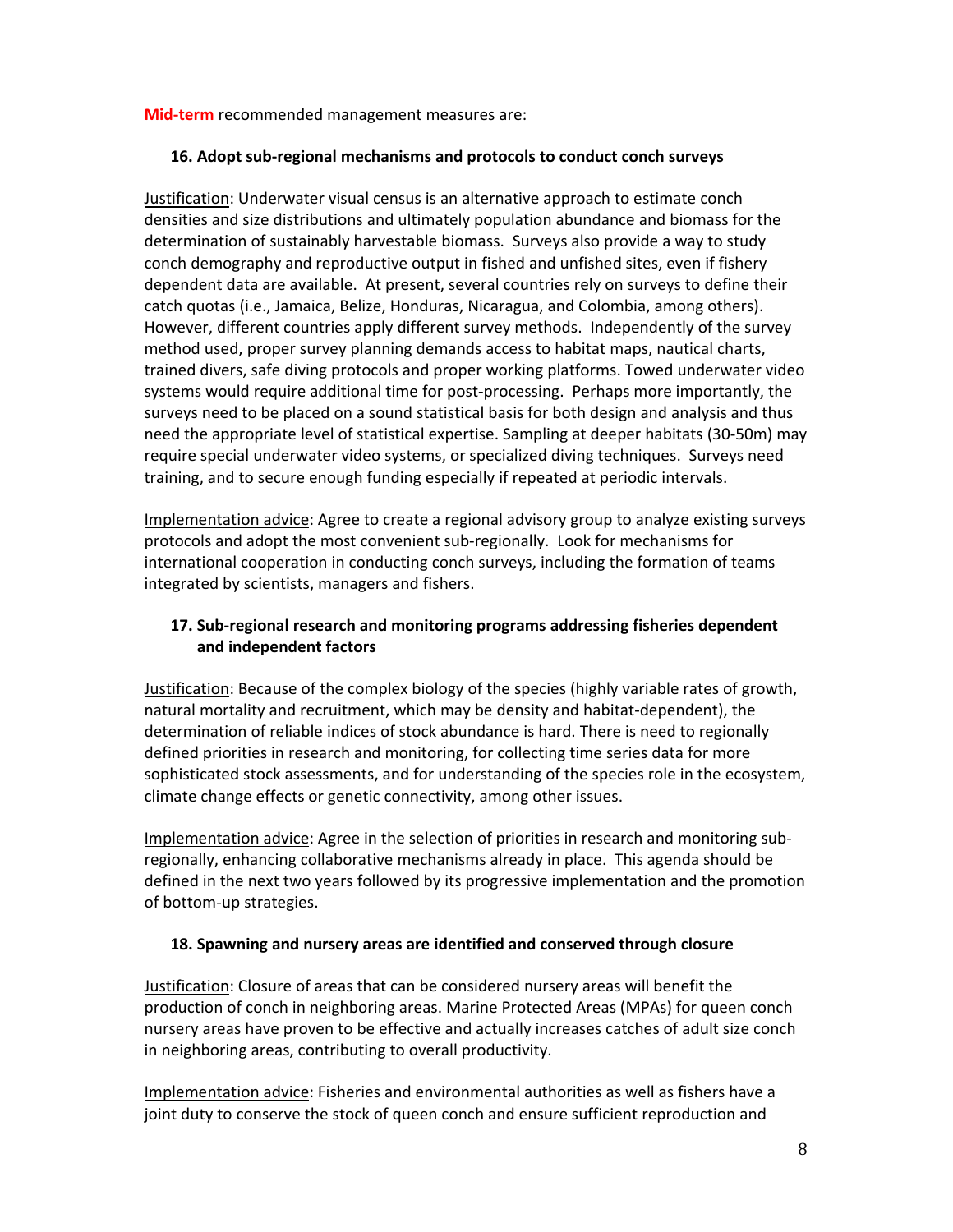#### **Mid-term** recommended management measures are:

#### **16. Adopt sub‐regional mechanisms and protocols to conduct conch surveys**

Justification: Underwater visual census is an alternative approach to estimate conch densities and size distributions and ultimately population abundance and biomass for the determination of sustainably harvestable biomass. Surveys also provide a way to study conch demography and reproductive output in fished and unfished sites, even if fishery dependent data are available. At present, several countries rely on surveys to define their catch quotas (i.e., Jamaica, Belize, Honduras, Nicaragua, and Colombia, among others). However, different countries apply different survey methods. Independently of the survey method used, proper survey planning demands access to habitat maps, nautical charts, trained divers, safe diving protocols and proper working platforms. Towed underwater video systems would require additional time for post-processing. Perhaps more importantly, the surveys need to be placed on a sound statistical basis for both design and analysis and thus need the appropriate level of statistical expertise. Sampling at deeper habitats (30‐50m) may require special underwater video systems, or specialized diving techniques. Surveys need training, and to secure enough funding especially if repeated at periodic intervals.

Implementation advice: Agree to create a regional advisory group to analyze existing surveys protocols and adopt the most convenient sub‐regionally. Look for mechanisms for international cooperation in conducting conch surveys, including the formation of teams integrated by scientists, managers and fishers.

#### **17. Sub‐regional research and monitoring programs addressing fisheries dependent and independent factors**

Justification: Because of the complex biology of the species (highly variable rates of growth, natural mortality and recruitment, which may be density and habitat‐dependent), the determination of reliable indices of stock abundance is hard. There is need to regionally defined priorities in research and monitoring, for collecting time series data for more sophisticated stock assessments, and for understanding of the species role in the ecosystem, climate change effects or genetic connectivity, among other issues.

Implementation advice: Agree in the selection of priorities in research and monitoring sub‐ regionally, enhancing collaborative mechanisms already in place. This agenda should be defined in the next two years followed by its progressive implementation and the promotion of bottom‐up strategies.

#### **18. Spawning and nursery areas are identified and conserved through closure**

Justification: Closure of areas that can be considered nursery areas will benefit the production of conch in neighboring areas. Marine Protected Areas (MPAs) for queen conch nursery areas have proven to be effective and actually increases catches of adult size conch in neighboring areas, contributing to overall productivity.

Implementation advice: Fisheries and environmental authorities as well as fishers have a joint duty to conserve the stock of queen conch and ensure sufficient reproduction and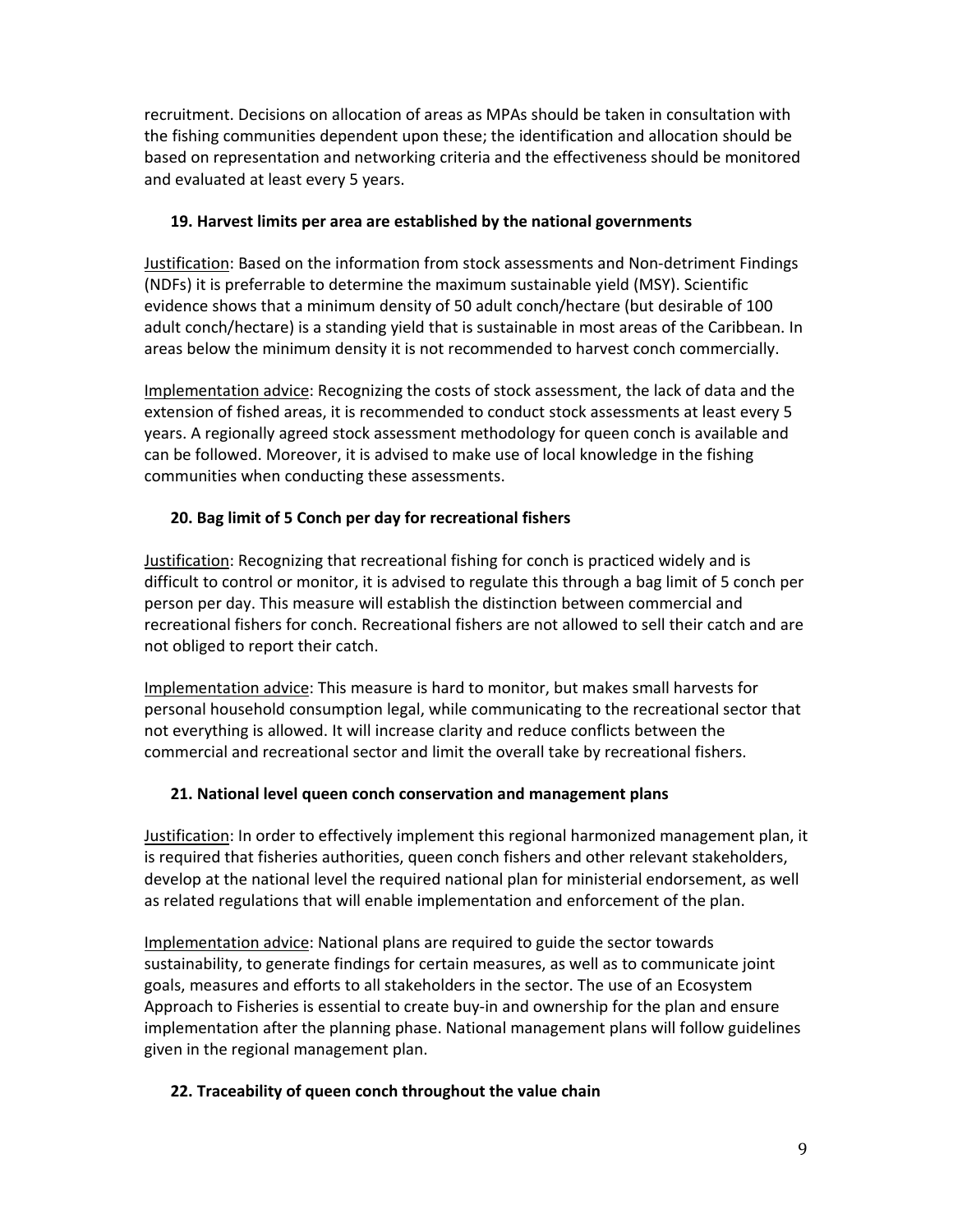recruitment. Decisions on allocation of areas as MPAs should be taken in consultation with the fishing communities dependent upon these; the identification and allocation should be based on representation and networking criteria and the effectiveness should be monitored and evaluated at least every 5 years.

#### **19. Harvest limits per area are established by the national governments**

Justification: Based on the information from stock assessments and Non‐detriment Findings (NDFs) it is preferrable to determine the maximum sustainable yield (MSY). Scientific evidence shows that a minimum density of 50 adult conch/hectare (but desirable of 100 adult conch/hectare) is a standing yield that is sustainable in most areas of the Caribbean. In areas below the minimum density it is not recommended to harvest conch commercially.

Implementation advice: Recognizing the costs of stock assessment, the lack of data and the extension of fished areas, it is recommended to conduct stock assessments at least every 5 years. A regionally agreed stock assessment methodology for queen conch is available and can be followed. Moreover, it is advised to make use of local knowledge in the fishing communities when conducting these assessments.

## **20. Bag limit of 5 Conch per day for recreational fishers**

Justification: Recognizing that recreational fishing for conch is practiced widely and is difficult to control or monitor, it is advised to regulate this through a bag limit of 5 conch per person per day. This measure will establish the distinction between commercial and recreational fishers for conch. Recreational fishers are not allowed to sell their catch and are not obliged to report their catch.

Implementation advice: This measure is hard to monitor, but makes small harvests for personal household consumption legal, while communicating to the recreational sector that not everything is allowed. It will increase clarity and reduce conflicts between the commercial and recreational sector and limit the overall take by recreational fishers.

## **21. National level queen conch conservation and management plans**

Justification: In order to effectively implement this regional harmonized management plan, it is required that fisheries authorities, queen conch fishers and other relevant stakeholders, develop at the national level the required national plan for ministerial endorsement, as well as related regulations that will enable implementation and enforcement of the plan.

Implementation advice: National plans are required to guide the sector towards sustainability, to generate findings for certain measures, as well as to communicate joint goals, measures and efforts to all stakeholders in the sector. The use of an Ecosystem Approach to Fisheries is essential to create buy‐in and ownership for the plan and ensure implementation after the planning phase. National management plans will follow guidelines given in the regional management plan.

# **22. Traceability of queen conch throughout the value chain**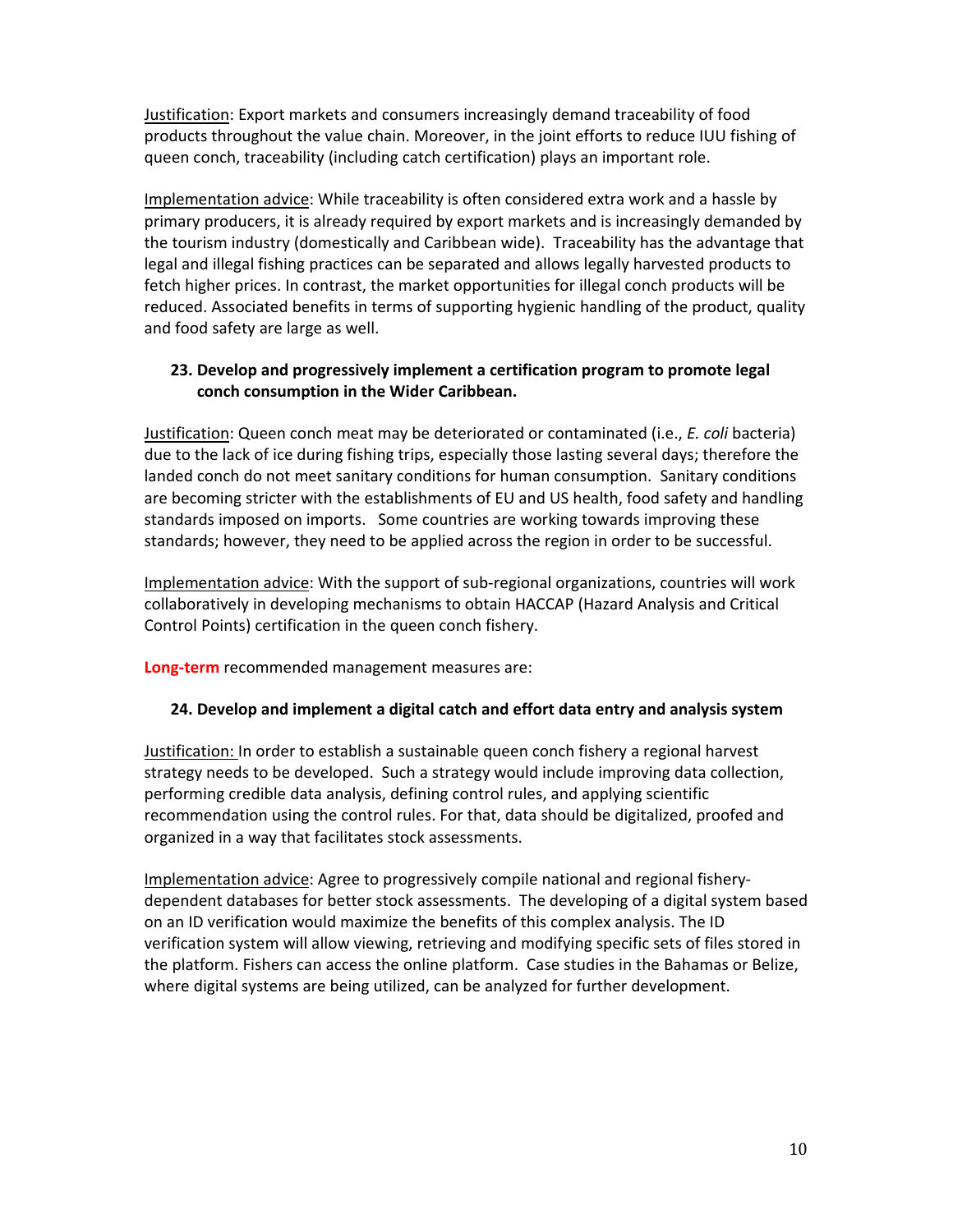Justification: Export markets and consumers increasingly demand traceability of food products throughout the value chain. Moreover, in the joint efforts to reduce IUU fishing of queen conch, traceability (including catch certification) plays an important role.

Implementation advice: While traceability is often considered extra work and a hassle by primary producers, it is already required by export markets and is increasingly demanded by the tourism industry (domestically and Caribbean wide). Traceability has the advantage that legal and illegal fishing practices can be separated and allows legally harvested products to fetch higher prices. In contrast, the market opportunities for illegal conch products will be reduced. Associated benefits in terms of supporting hygienic handling of the product, quality and food safety are large as well.

#### **23. Develop and progressively implement a certification program to promote legal conch consumption in the Wider Caribbean.**

Justification: Queen conch meat may be deteriorated or contaminated (i.e., *E. coli* bacteria) due to the lack of ice during fishing trips, especially those lasting several days; therefore the landed conch do not meet sanitary conditions for human consumption. Sanitary conditions are becoming stricter with the establishments of EU and US health, food safety and handling standards imposed on imports. Some countries are working towards improving these standards; however, they need to be applied across the region in order to be successful.

Implementation advice: With the support of sub‐regional organizations, countries will work collaboratively in developing mechanisms to obtain HACCAP (Hazard Analysis and Critical Control Points) certification in the queen conch fishery.

**Long‐term** recommended management measures are:

#### **24. Develop and implement a digital catch and effort data entry and analysis system**

Justification: In order to establish a sustainable queen conch fishery a regional harvest strategy needs to be developed. Such a strategy would include improving data collection, performing credible data analysis, defining control rules, and applying scientific recommendation using the control rules. For that, data should be digitalized, proofed and organized in a way that facilitates stock assessments.

Implementation advice: Agree to progressively compile national and regional fishery‐ dependent databases for better stock assessments. The developing of a digital system based on an ID verification would maximize the benefits of this complex analysis. The ID verification system will allow viewing, retrieving and modifying specific sets of files stored in the platform. Fishers can access the online platform. Case studies in the Bahamas or Belize, where digital systems are being utilized, can be analyzed for further development.